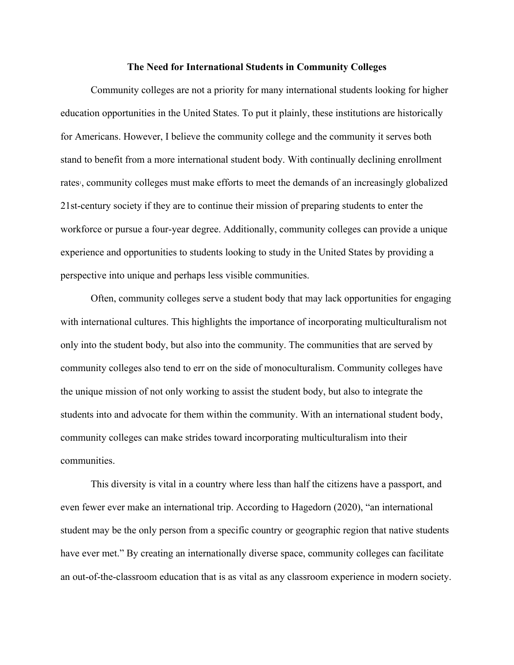## **The Need for International Students in Community Colleges**

Community colleges are not a priority for many international students looking for higher education opportunities in the United States. To put it plainly, these institutions are historically for Americans. However, I believe the community college and the community it serves both stand to benefit from a more international student body. With continually declining enrollment rates<sup>1</sup>, community colleges must make efforts to meet the demands of an increasingly globalized 21st-century society if they are to continue their mission of preparing students to enter the workforce or pursue a four-year degree. Additionally, community colleges can provide a unique experience and opportunities to students looking to study in the United States by providing a perspective into unique and perhaps less visible communities.

Often, community colleges serve a student body that may lack opportunities for engaging with international cultures. This highlights the importance of incorporating multiculturalism not only into the student body, but also into the community. The communities that are served by community colleges also tend to err on the side of monoculturalism. Community colleges have the unique mission of not only working to assist the student body, but also to integrate the students into and advocate for them within the community. With an international student body, community colleges can make strides toward incorporating multiculturalism into their communities.

This diversity is vital in a country where less than half the citizens have a passport, and even fewer ever make an international trip. According to Hagedorn (2020), "an international student may be the only person from a specific country or geographic region that native students have ever met." By creating an internationally diverse space, community colleges can facilitate an out-of-the-classroom education that is as vital as any classroom experience in modern society.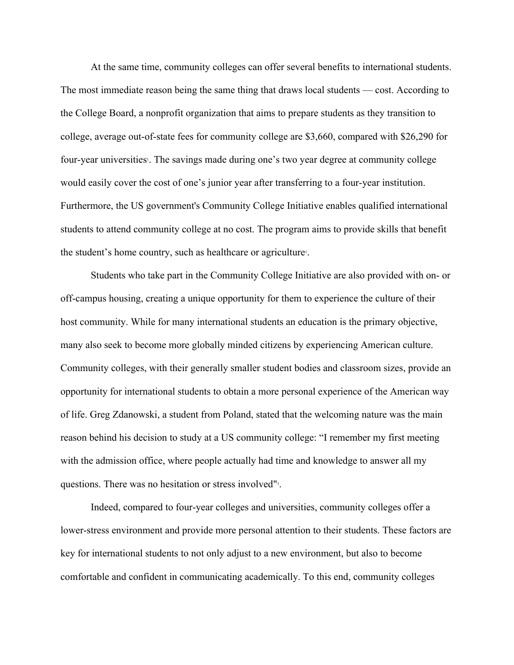At the same time, community colleges can offer several benefits to international students. The most immediate reason being the same thing that draws local students — cost. According to the College Board, a nonprofit organization that aims to prepare students as they transition to college, average out-of-state fees for community college are \$3,660, compared with \$26,290 for four-year universities. The savings made during one's two year degree at community college would easily cover the cost of one's junior year after transferring to a four-year institution. Furthermore, the US government's Community College Initiative enables qualified international students to attend community college at no cost. The program aims to provide skills that benefit the student's home country, such as healthcare or agriculture<sup>1</sup>.

Students who take part in the Community College Initiative are also provided with on- or off-campus housing, creating a unique opportunity for them to experience the culture of their host community. While for many international students an education is the primary objective, many also seek to become more globally minded citizens by experiencing American culture. Community colleges, with their generally smaller student bodies and classroom sizes, provide an opportunity for international students to obtain a more personal experience of the American way of life. Greg Zdanowski, a student from Poland, stated that the welcoming nature was the main reason behind his decision to study at a US community college: "I remember my first meeting with the admission office, where people actually had time and knowledge to answer all my questions. There was no hesitation or stress involved"<sup>3</sup>.

Indeed, compared to four-year colleges and universities, community colleges offer a lower-stress environment and provide more personal attention to their students. These factors are key for international students to not only adjust to a new environment, but also to become comfortable and confident in communicating academically. To this end, community colleges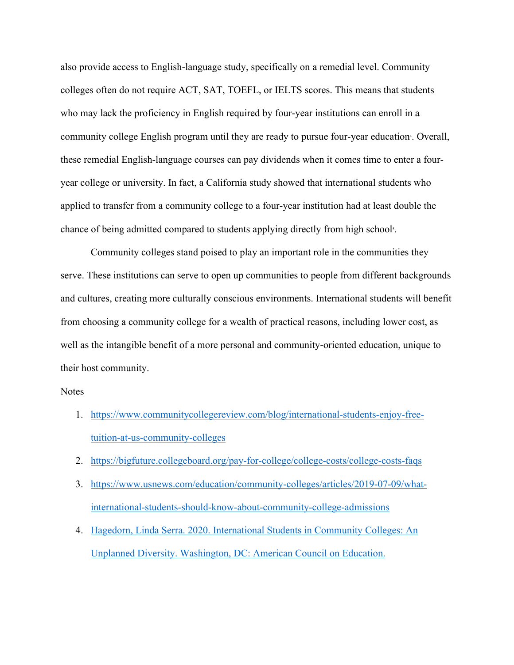also provide access to English-language study, specifically on a remedial level. Community colleges often do not require ACT, SAT, TOEFL, or IELTS scores. This means that students who may lack the proficiency in English required by four-year institutions can enroll in a community college English program until they are ready to pursue four-year education<sup>4</sup>. Overall, these remedial English-language courses can pay dividends when it comes time to enter a fouryear college or university. In fact, a California study showed that international students who applied to transfer from a community college to a four-year institution had at least double the chance of being admitted compared to students applying directly from high schools.

Community colleges stand poised to play an important role in the communities they serve. These institutions can serve to open up communities to people from different backgrounds and cultures, creating more culturally conscious environments. International students will benefit from choosing a community college for a wealth of practical reasons, including lower cost, as well as the intangible benefit of a more personal and community-oriented education, unique to their host community.

## Notes

- 1. https://www.communitycollegereview.com/blog/international-students-enjoy-freetuition-at-us-community-colleges
- 2. https://bigfuture.collegeboard.org/pay-for-college/college-costs/college-costs-faqs
- 3. https://www.usnews.com/education/community-colleges/articles/2019-07-09/whatinternational-students-should-know-about-community-college-admissions
- 4. Hagedorn, Linda Serra. 2020. International Students in Community Colleges: An Unplanned Diversity. Washington, DC: American Council on Education.